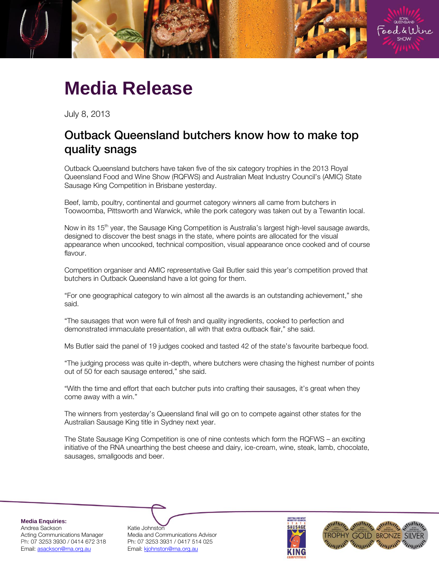

## **Media Release**

July 8, 2013

## Outback Queensland butchers know how to make top quality snags  $\frac{1}{2}$

Outback Queensland butchers have taken five of the six category trophies in the 2013 Royal Queensland Food and Wine Show (RQFWS) and Australian Meat Industry Council's (AMIC) State Sausage King Competition in Brisbane yesterday.

Beef, lamb, poultry, continental and gourmet category winners all came from butchers in Toowoomba, Pittsworth and Warwick, while the pork category was taken out by a Tewantin local.

Now in its 15<sup>th</sup> year, the Sausage King Competition is Australia's largest high-level sausage awards, designed to discover the best snags in the state, where points are allocated for the visual appearance when uncooked, technical composition, visual appearance once cooked and of course flavour.

Competition organiser and AMIC representative Gail Butler said this year's competition proved that butchers in Outback Queensland have a lot going for them.

"For one geographical category to win almost all the awards is an outstanding achievement," she said.

"The sausages that won were full of fresh and quality ingredients, cooked to perfection and demonstrated immaculate presentation, all with that extra outback flair," she said.

Ms Butler said the panel of 19 judges cooked and tasted 42 of the state's favourite barbeque food.

"The judging process was quite in-depth, where butchers were chasing the highest number of points out of 50 for each sausage entered," she said.

"With the time and effort that each butcher puts into crafting their sausages, it's great when they come away with a win."

The winners from yesterday's Queensland final will go on to compete against other states for the Australian Sausage King title in Sydney next year.

The State Sausage King Competition is one of nine contests which form the RQFWS – an exciting initiative of the RNA unearthing the best cheese and dairy, ice-cream, wine, steak, lamb, chocolate, sausages, smallgoods and beer.

**Media Enquiries:** Andrea Sackson and Katie Johnston<br>Acting Communications Manager Media and Cor Email: [asackson@rna.org.au](mailto:asackson@rna.org.au) Fmail: [kjohnston@rna.org.au](mailto:kjohnston@rna.org.au)

Media and Communications Advisor Ph: 07 3253 3930 / 0414 672 318 Ph: 07 3253 3931 / 0417 514 025